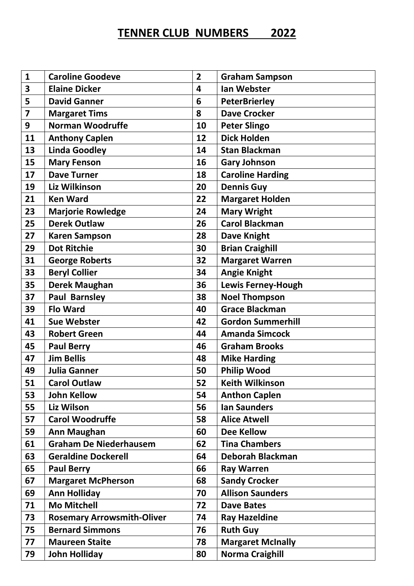## **TENNER CLUB NUMBERS 2022**

| $\mathbf{1}$            | <b>Caroline Goodeve</b>           | $\overline{2}$ | <b>Graham Sampson</b>     |
|-------------------------|-----------------------------------|----------------|---------------------------|
| 3                       | <b>Elaine Dicker</b>              | 4              | <b>Ian Webster</b>        |
| 5                       | <b>David Ganner</b>               | 6              | <b>PeterBrierley</b>      |
| $\overline{\mathbf{z}}$ | <b>Margaret Tims</b>              | 8              | <b>Dave Crocker</b>       |
| 9                       | <b>Norman Woodruffe</b>           | 10             | <b>Peter Slingo</b>       |
| 11                      | <b>Anthony Caplen</b>             | 12             | <b>Dick Holden</b>        |
| 13                      | <b>Linda Goodley</b>              | 14             | <b>Stan Blackman</b>      |
| 15                      | <b>Mary Fenson</b>                | 16             | <b>Gary Johnson</b>       |
| 17                      | <b>Dave Turner</b>                | 18             | <b>Caroline Harding</b>   |
| 19                      | Liz Wilkinson                     | 20             | <b>Dennis Guy</b>         |
| 21                      | <b>Ken Ward</b>                   | 22             | <b>Margaret Holden</b>    |
| 23                      | <b>Marjorie Rowledge</b>          | 24             | <b>Mary Wright</b>        |
| 25                      | <b>Derek Outlaw</b>               | 26             | <b>Carol Blackman</b>     |
| 27                      | <b>Karen Sampson</b>              | 28             | <b>Dave Knight</b>        |
| 29                      | <b>Dot Ritchie</b>                | 30             | <b>Brian Craighill</b>    |
| 31                      | <b>George Roberts</b>             | 32             | <b>Margaret Warren</b>    |
| 33                      | <b>Beryl Collier</b>              | 34             | <b>Angie Knight</b>       |
| 35                      | <b>Derek Maughan</b>              | 36             | <b>Lewis Ferney-Hough</b> |
| 37                      | <b>Paul Barnsley</b>              | 38             | <b>Noel Thompson</b>      |
| 39                      | <b>Flo Ward</b>                   | 40             | <b>Grace Blackman</b>     |
| 41                      | <b>Sue Webster</b>                | 42             | <b>Gordon Summerhill</b>  |
| 43                      | <b>Robert Green</b>               | 44             | <b>Amanda Simcock</b>     |
| 45                      | <b>Paul Berry</b>                 | 46             | <b>Graham Brooks</b>      |
| 47                      | <b>Jim Bellis</b>                 | 48             | <b>Mike Harding</b>       |
| 49                      | <b>Julia Ganner</b>               | 50             | <b>Philip Wood</b>        |
| 51                      | <b>Carol Outlaw</b>               | 52             | <b>Keith Wilkinson</b>    |
| 53                      | <b>John Kellow</b>                | 54             | <b>Anthon Caplen</b>      |
| 55                      | Liz Wilson                        | 56             | <b>Ian Saunders</b>       |
| 57                      | <b>Carol Woodruffe</b>            | 58             | <b>Alice Atwell</b>       |
| 59                      | <b>Ann Maughan</b>                | 60             | <b>Dee Kellow</b>         |
| 61                      | <b>Graham De Niederhausem</b>     | 62             | <b>Tina Chambers</b>      |
| 63                      | <b>Geraldine Dockerell</b>        | 64             | Deborah Blackman          |
| 65                      | <b>Paul Berry</b>                 | 66             | <b>Ray Warren</b>         |
| 67                      | <b>Margaret McPherson</b>         | 68             | <b>Sandy Crocker</b>      |
| 69                      | <b>Ann Holliday</b>               | 70             | <b>Allison Saunders</b>   |
| 71                      | <b>Mo Mitchell</b>                | 72             | <b>Dave Bates</b>         |
| 73                      | <b>Rosemary Arrowsmith-Oliver</b> | 74             | <b>Ray Hazeldine</b>      |
| 75                      | <b>Bernard Simmons</b>            | 76             | <b>Ruth Guy</b>           |
| 77                      | <b>Maureen Staite</b>             | 78             | <b>Margaret McInally</b>  |
| 79                      | <b>John Holliday</b>              | 80             | <b>Norma Craighill</b>    |